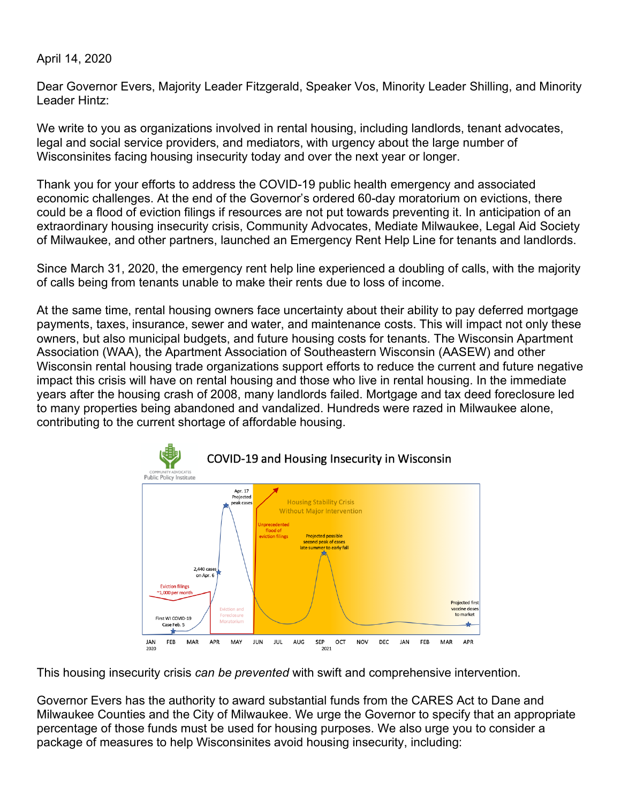April 14, 2020

Dear Governor Evers, Majority Leader Fitzgerald, Speaker Vos, Minority Leader Shilling, and Minority Leader Hintz:

We write to you as organizations involved in rental housing, including landlords, tenant advocates, legal and social service providers, and mediators, with urgency about the large number of Wisconsinites facing housing insecurity today and over the next year or longer.

Thank you for your efforts to address the COVID-19 public health emergency and associated economic challenges. At the end of the Governor's ordered 60-day moratorium on evictions, there could be a flood of eviction filings if resources are not put towards preventing it. In anticipation of an extraordinary housing insecurity crisis, Community Advocates, Mediate Milwaukee, Legal Aid Society of Milwaukee, and other partners, launched an Emergency Rent Help Line for tenants and landlords.

Since March 31, 2020, the emergency rent help line experienced a doubling of calls, with the majority of calls being from tenants unable to make their rents due to loss of income.

At the same time, rental housing owners face uncertainty about their ability to pay deferred mortgage payments, taxes, insurance, sewer and water, and maintenance costs. This will impact not only these owners, but also municipal budgets, and future housing costs for tenants. The Wisconsin Apartment Association (WAA), the Apartment Association of Southeastern Wisconsin (AASEW) and other Wisconsin rental housing trade organizations support efforts to reduce the current and future negative impact this crisis will have on rental housing and those who live in rental housing. In the immediate years after the housing crash of 2008, many landlords failed. Mortgage and tax deed foreclosure led to many properties being abandoned and vandalized. Hundreds were razed in Milwaukee alone, contributing to the current shortage of affordable housing.



This housing insecurity crisis *can be prevented* with swift and comprehensive intervention.

Governor Evers has the authority to award substantial funds from the CARES Act to Dane and Milwaukee Counties and the City of Milwaukee. We urge the Governor to specify that an appropriate percentage of those funds must be used for housing purposes. We also urge you to consider a package of measures to help Wisconsinites avoid housing insecurity, including: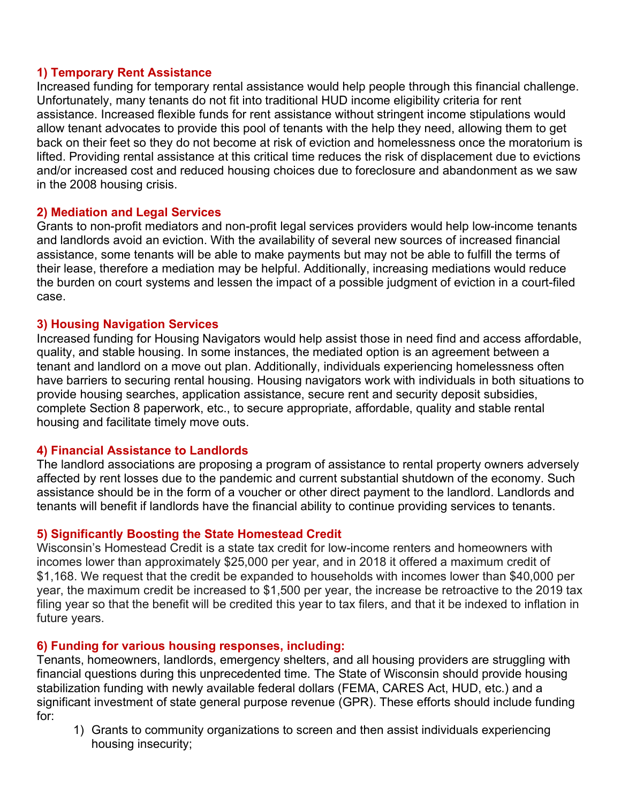### **1) Temporary Rent Assistance**

Increased funding for temporary rental assistance would help people through this financial challenge. Unfortunately, many tenants do not fit into traditional HUD income eligibility criteria for rent assistance. Increased flexible funds for rent assistance without stringent income stipulations would allow tenant advocates to provide this pool of tenants with the help they need, allowing them to get back on their feet so they do not become at risk of eviction and homelessness once the moratorium is lifted. Providing rental assistance at this critical time reduces the risk of displacement due to evictions and/or increased cost and reduced housing choices due to foreclosure and abandonment as we saw in the 2008 housing crisis.

### **2) Mediation and Legal Services**

Grants to non-profit mediators and non-profit legal services providers would help low-income tenants and landlords avoid an eviction. With the availability of several new sources of increased financial assistance, some tenants will be able to make payments but may not be able to fulfill the terms of their lease, therefore a mediation may be helpful. Additionally, increasing mediations would reduce the burden on court systems and lessen the impact of a possible judgment of eviction in a court-filed case.

#### **3) Housing Navigation Services**

Increased funding for Housing Navigators would help assist those in need find and access affordable, quality, and stable housing. In some instances, the mediated option is an agreement between a tenant and landlord on a move out plan. Additionally, individuals experiencing homelessness often have barriers to securing rental housing. Housing navigators work with individuals in both situations to provide housing searches, application assistance, secure rent and security deposit subsidies, complete Section 8 paperwork, etc., to secure appropriate, affordable, quality and stable rental housing and facilitate timely move outs.

#### **4) Financial Assistance to Landlords**

The landlord associations are proposing a program of assistance to rental property owners adversely affected by rent losses due to the pandemic and current substantial shutdown of the economy. Such assistance should be in the form of a voucher or other direct payment to the landlord. Landlords and tenants will benefit if landlords have the financial ability to continue providing services to tenants.

# **5) Significantly Boosting the State Homestead Credit**

Wisconsin's Homestead Credit is a state tax credit for low-income renters and homeowners with incomes lower than approximately \$25,000 per year, and in 2018 it offered a maximum credit of \$1,168. We request that the credit be expanded to households with incomes lower than \$40,000 per year, the maximum credit be increased to \$1,500 per year, the increase be retroactive to the 2019 tax filing year so that the benefit will be credited this year to tax filers, and that it be indexed to inflation in future years.

# **6) Funding for various housing responses, including:**

Tenants, homeowners, landlords, emergency shelters, and all housing providers are struggling with financial questions during this unprecedented time. The State of Wisconsin should provide housing stabilization funding with newly available federal dollars (FEMA, CARES Act, HUD, etc.) and a significant investment of state general purpose revenue (GPR). These efforts should include funding for:

1) Grants to community organizations to screen and then assist individuals experiencing housing insecurity;